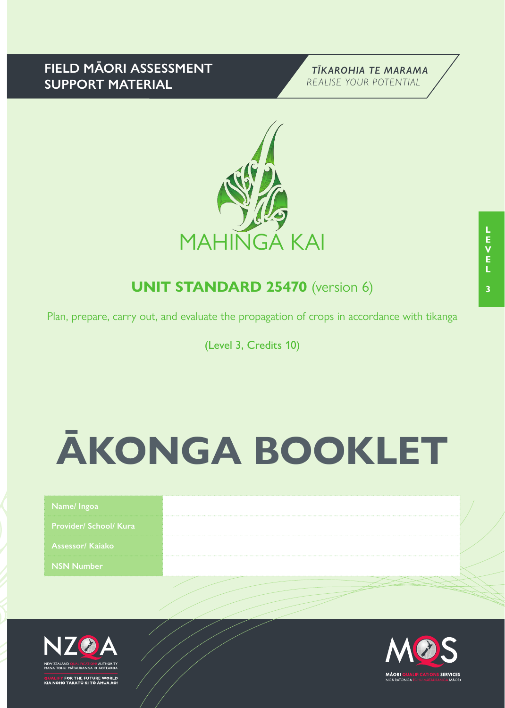## **FIELD MĀORI ASSESSMENT SUPPORT MATERIAL**





# **UNIT STANDARD 25470** (version 6)

Plan, prepare, carry out, and evaluate the propagation of crops in accordance with tikanga

(Level 3, Credits 10)

# **ĀKONGA BOOKLET**

| Name/ Ingoa                   |  |
|-------------------------------|--|
| <b>Provider/ School/ Kura</b> |  |
| <b>Assessor/ Kajako</b>       |  |
| <b>NSN Number</b>             |  |
|                               |  |



FOR THE FUTURE WORLD<br>O TAKATŪ KI TÕ ĀMUA AO!

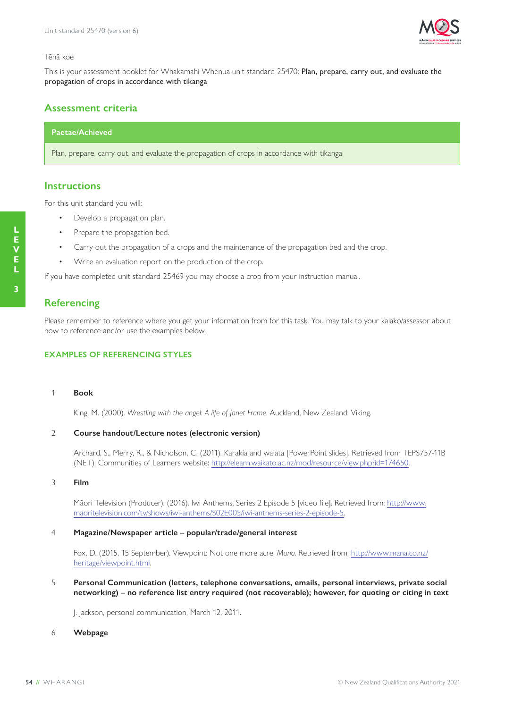

#### Tēnā koe

This is your assessment booklet for Whakamahi Whenua unit standard 25470: Plan, prepare, carry out, and evaluate the propagation of crops in accordance with tikanga

### **Assessment criteria**

#### **Paetae/Achieved**

Plan, prepare, carry out, and evaluate the propagation of crops in accordance with tikanga

#### **Instructions**

For this unit standard you will:

- Develop a propagation plan.
- Prepare the propagation bed.
- Carry out the propagation of a crops and the maintenance of the propagation bed and the crop.
- Write an evaluation report on the production of the crop.

If you have completed unit standard 25469 you may choose a crop from your instruction manual.

#### **Referencing**

Please remember to reference where you get your information from for this task. You may talk to your kaiako/assessor about how to reference and/or use the examples below.

#### **EXAMPLES OF REFERENCING STYLES**

1 **Book**

King, M. (2000). *Wrestling with the angel: A life of Janet Frame*. Auckland, New Zealand: Viking.

#### 2 **Course handout/Lecture notes (electronic version)**

Archard, S., Merry, R., & Nicholson, C. (2011). Karakia and waiata [PowerPoint slides]. Retrieved from TEPS757-11B (NET): Communities of Learners website: http://elearn.waikato.ac.nz/mod/resource/view.php?id=174650.

#### 3 **Film**

Māori Television (Producer). (2016). Iwi Anthems, Series 2 Episode 5 [video file]. Retrieved from: http://www. maoritelevision.com/tv/shows/iwi-anthems/S02E005/iwi-anthems-series-2-episode-5.

#### 4 **Magazine/Newspaper article – popular/trade/general interest**

Fox, D. (2015, 15 September). Viewpoint: Not one more acre. *Mana*. Retrieved from: http://www.mana.co.nz/ heritage/viewpoint.html.

5 **Personal Communication (letters, telephone conversations, emails, personal interviews, private social networking) – no reference list entry required (not recoverable); however, for quoting or citing in text**

J. Jackson, personal communication, March 12, 2011.

#### 6 **Webpage**

**L E V E**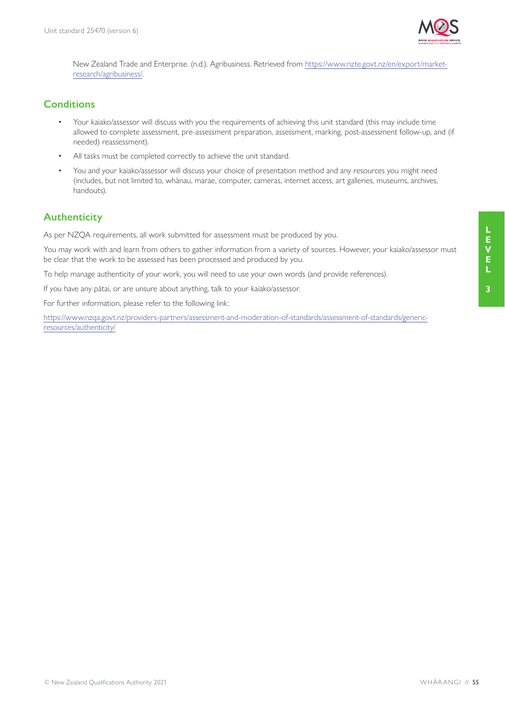

New Zealand Trade and Enterprise. (n.d.). Agribusiness. Retrieved from https://www.nzte.govt.nz/en/export/marketresearch/agribusiness/.

## **Conditions**

- Your kaiako/assessor will discuss with you the requirements of achieving this unit standard (this may include time allowed to complete assessment, pre-assessment preparation, assessment, marking, post-assessment follow-up, and (if needed) reassessment).
- All tasks must be completed correctly to achieve the unit standard.
- You and your kaiako/assessor will discuss your choice of presentation method and any resources you might need (includes, but not limited to, whānau, marae, computer, cameras, internet access, art galleries, museums, archives, handouts).

## **Authenticity**

As per NZQA requirements, all work submitted for assessment must be produced by you.

You may work with and learn from others to gather information from a variety of sources. However, your kaiako/assessor must be clear that the work to be assessed has been processed and produced by you.

To help manage authenticity of your work, you will need to use your own words (and provide references).

If you have any pātai, or are unsure about anything, talk to your kaiako/assessor.

For further information, please refer to the following link:

https://www.nzqa.govt.nz/providers-partners/assessment-and-moderation-of-standards/assessment-of-standards/genericresources/authenticity/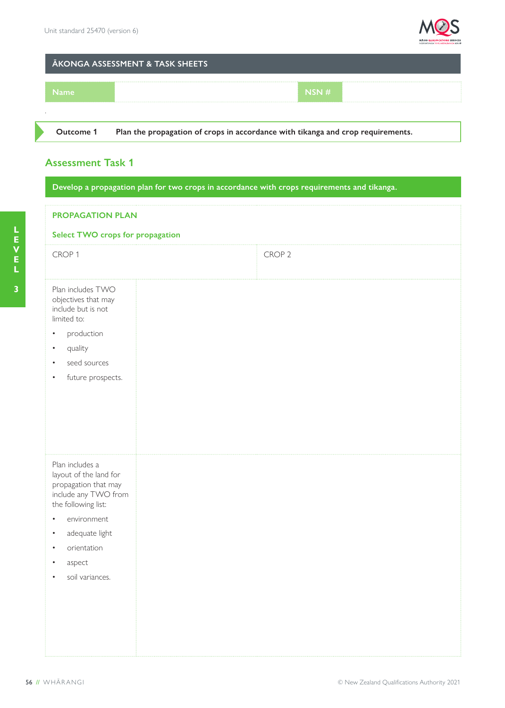

## **ĀKONGA ASSESSMENT & TASK SHEETS**

| <b>Name</b> |  | NSN# |  |
|-------------|--|------|--|
|             |  |      |  |
|             |  |      |  |

**Outcome 1 Plan the propagation of crops in accordance with tikanga and crop requirements.**

## **Assessment Task 1**

**Develop a propagation plan for two crops in accordance with crops requirements and tikanga.**

| <b>PROPAGATION PLAN</b>                                                                                                                                                                            |                   |  |  |  |  |
|----------------------------------------------------------------------------------------------------------------------------------------------------------------------------------------------------|-------------------|--|--|--|--|
| <b>Select TWO crops for propagation</b>                                                                                                                                                            |                   |  |  |  |  |
| CROP <sub>1</sub>                                                                                                                                                                                  | CROP <sub>2</sub> |  |  |  |  |
| Plan includes TWO<br>objectives that may<br>include but is not<br>limited to:<br>production<br>quality<br>٠<br>seed sources<br>future prospects.                                                   |                   |  |  |  |  |
| Plan includes a<br>layout of the land for<br>propagation that may<br>include any TWO from<br>the following list:<br>environment<br>adequate light<br>٠<br>orientation<br>aspect<br>soil variances. |                   |  |  |  |  |

**3**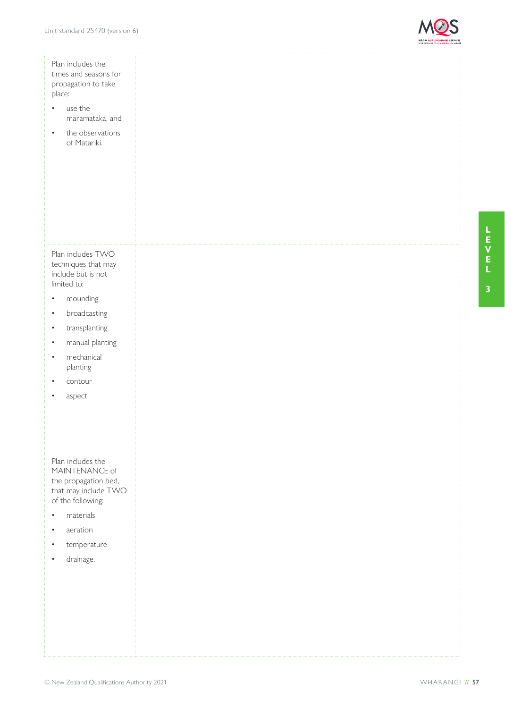

| Plan includes the<br>times and seasons for<br>propagation to take<br>place:<br>use the<br>$\bullet$<br>māramataka, and<br>the observations<br>$\bullet$<br>of Matariki. |  |
|-------------------------------------------------------------------------------------------------------------------------------------------------------------------------|--|
| Plan includes TWO<br>techniques that may<br>include but is not<br>limited to:                                                                                           |  |
| mounding<br>٠                                                                                                                                                           |  |
| broadcasting<br>$\bullet$                                                                                                                                               |  |
| transplanting<br>$\bullet$<br>manual planting<br>$\bullet$                                                                                                              |  |
| mechanical<br>٠                                                                                                                                                         |  |
| planting                                                                                                                                                                |  |
| contour                                                                                                                                                                 |  |
| aspect                                                                                                                                                                  |  |
|                                                                                                                                                                         |  |
|                                                                                                                                                                         |  |
| Plan includes the<br>MAINTENANCE of<br>the propagation bed,                                                                                                             |  |
| that may include TWO<br>of the following:                                                                                                                               |  |
| materials<br>٠                                                                                                                                                          |  |
| aeration                                                                                                                                                                |  |
| temperature                                                                                                                                                             |  |
| drainage.                                                                                                                                                               |  |
|                                                                                                                                                                         |  |
|                                                                                                                                                                         |  |
|                                                                                                                                                                         |  |
|                                                                                                                                                                         |  |
|                                                                                                                                                                         |  |
|                                                                                                                                                                         |  |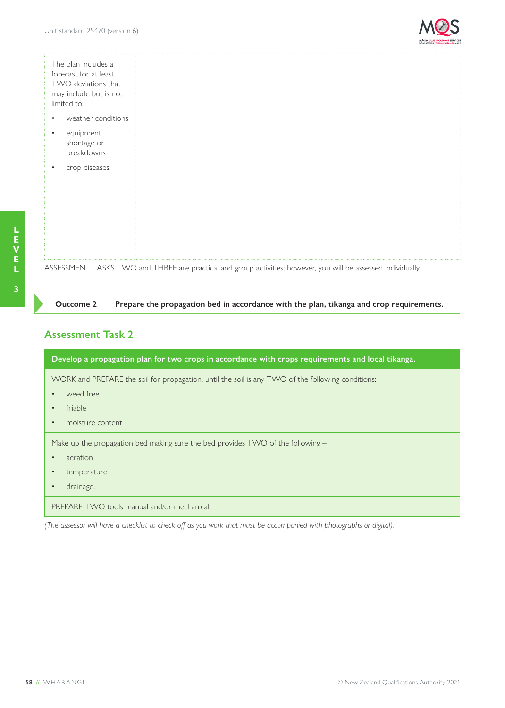

The plan includes a forecast for at least TWO deviations that may include but is not limited to:

- weather conditions
- equipment shortage or breakdowns
- crop diseases.

**Outcome 2 Prepare the propagation bed in accordance with the plan, tikanga and crop requirements.**

ASSESSMENT TASKS TWO and THREE are practical and group activities; however, you will be assessed individually.

## **Assessment Task 2**

| Develop a propagation plan for two crops in accordance with crops requirements and local tikanga. |  |  |  |
|---------------------------------------------------------------------------------------------------|--|--|--|
| WORK and PREPARE the soil for propagation, until the soil is any TWO of the following conditions: |  |  |  |
| weed free                                                                                         |  |  |  |
| friable<br>$\bullet$                                                                              |  |  |  |
| moisture content<br>$\bullet$                                                                     |  |  |  |
| Make up the propagation bed making sure the bed provides TWO of the following -                   |  |  |  |
| aeration<br>$\bullet$                                                                             |  |  |  |
| temperature                                                                                       |  |  |  |
| drainage.                                                                                         |  |  |  |
| PREPARE TWO tools manual and/or mechanical.                                                       |  |  |  |

*(The assessor will have a checklist to check off as you work that must be accompanied with photographs or digital).*